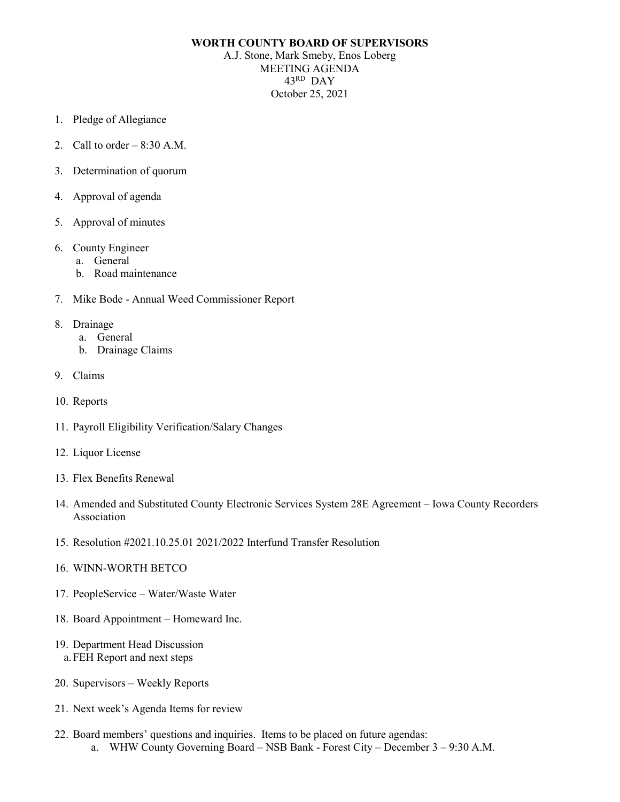## **WORTH COUNTY BOARD OF SUPERVISORS**

A.J. Stone, Mark Smeby, Enos Loberg MEETING AGENDA 43RD DAY October 25, 2021

- 1. Pledge of Allegiance
- 2. Call to order  $-8:30$  A.M.
- 3. Determination of quorum
- 4. Approval of agenda
- 5. Approval of minutes
- 6. County Engineer
	- a. General
	- b. Road maintenance
- 7. Mike Bode Annual Weed Commissioner Report
- 8. Drainage
	- a. General
	- b. Drainage Claims
- 9. Claims
- 10. Reports
- 11. Payroll Eligibility Verification/Salary Changes
- 12. Liquor License
- 13. Flex Benefits Renewal
- 14. Amended and Substituted County Electronic Services System 28E Agreement Iowa County Recorders Association
- 15. Resolution #2021.10.25.01 2021/2022 Interfund Transfer Resolution
- 16. WINN-WORTH BETCO
- 17. PeopleService Water/Waste Water
- 18. Board Appointment Homeward Inc.
- 19. Department Head Discussion a.FEH Report and next steps
- 20. Supervisors Weekly Reports
- 21. Next week's Agenda Items for review
- 22. Board members' questions and inquiries. Items to be placed on future agendas: a. WHW County Governing Board – NSB Bank - Forest City – December 3 – 9:30 A.M.